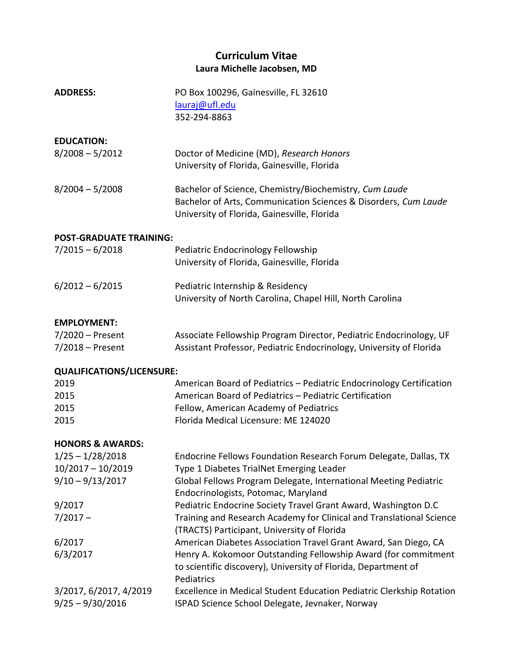# **Curriculum Vitae Laura Michelle Jacobsen, MD**

| <b>ADDRESS:</b>                              | PO Box 100296, Gainesville, FL 32610<br>lauraj@ufl.edu<br>352-294-8863                                                                                                   |  |  |  |
|----------------------------------------------|--------------------------------------------------------------------------------------------------------------------------------------------------------------------------|--|--|--|
| <b>EDUCATION:</b><br>$8/2008 - 5/2012$       | Doctor of Medicine (MD), Research Honors<br>University of Florida, Gainesville, Florida                                                                                  |  |  |  |
| $8/2004 - 5/2008$                            | Bachelor of Science, Chemistry/Biochemistry, Cum Laude<br>Bachelor of Arts, Communication Sciences & Disorders, Cum Laude<br>University of Florida, Gainesville, Florida |  |  |  |
| <b>POST-GRADUATE TRAINING:</b>               |                                                                                                                                                                          |  |  |  |
| $7/2015 - 6/2018$                            | Pediatric Endocrinology Fellowship<br>University of Florida, Gainesville, Florida                                                                                        |  |  |  |
| $6/2012 - 6/2015$                            | Pediatric Internship & Residency<br>University of North Carolina, Chapel Hill, North Carolina                                                                            |  |  |  |
| <b>EMPLOYMENT:</b>                           |                                                                                                                                                                          |  |  |  |
| 7/2020 - Present                             | Associate Fellowship Program Director, Pediatric Endocrinology, UF                                                                                                       |  |  |  |
| $7/2018$ – Present                           | Assistant Professor, Pediatric Endocrinology, University of Florida                                                                                                      |  |  |  |
| <b>QUALIFICATIONS/LICENSURE:</b>             |                                                                                                                                                                          |  |  |  |
| 2019                                         | American Board of Pediatrics - Pediatric Endocrinology Certification                                                                                                     |  |  |  |
| 2015                                         | American Board of Pediatrics - Pediatric Certification                                                                                                                   |  |  |  |
| 2015                                         | Fellow, American Academy of Pediatrics                                                                                                                                   |  |  |  |
| 2015                                         | Florida Medical Licensure: ME 124020                                                                                                                                     |  |  |  |
| <b>HONORS &amp; AWARDS:</b>                  |                                                                                                                                                                          |  |  |  |
| $1/25 - 1/28/2018$                           | Endocrine Fellows Foundation Research Forum Delegate, Dallas, TX                                                                                                         |  |  |  |
| $10/2017 - 10/2019$                          | Type 1 Diabetes TrialNet Emerging Leader                                                                                                                                 |  |  |  |
| $9/10 - 9/13/2017$                           | Global Fellows Program Delegate, International Meeting Pediatric<br>Endocrinologists, Potomac, Maryland                                                                  |  |  |  |
| 9/2017                                       | Pediatric Endocrine Society Travel Grant Award, Washington D.C                                                                                                           |  |  |  |
| $7/2017 -$                                   | Training and Research Academy for Clinical and Translational Science                                                                                                     |  |  |  |
|                                              | (TRACTS) Participant, University of Florida                                                                                                                              |  |  |  |
| 6/2017                                       | American Diabetes Association Travel Grant Award, San Diego, CA                                                                                                          |  |  |  |
| 6/3/2017                                     | Henry A. Kokomoor Outstanding Fellowship Award (for commitment<br>to scientific discovery), University of Florida, Department of<br>Pediatrics                           |  |  |  |
| 3/2017, 6/2017, 4/2019<br>$9/25 - 9/30/2016$ | Excellence in Medical Student Education Pediatric Clerkship Rotation<br>ISPAD Science School Delegate, Jevnaker, Norway                                                  |  |  |  |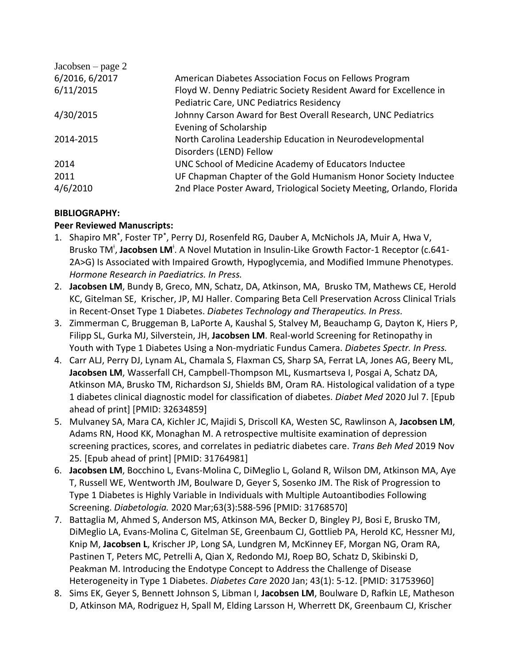| Jacobsen – page $2$ |                                                                       |
|---------------------|-----------------------------------------------------------------------|
| 6/2016, 6/2017      | American Diabetes Association Focus on Fellows Program                |
| 6/11/2015           | Floyd W. Denny Pediatric Society Resident Award for Excellence in     |
|                     | Pediatric Care, UNC Pediatrics Residency                              |
| 4/30/2015           | Johnny Carson Award for Best Overall Research, UNC Pediatrics         |
|                     | Evening of Scholarship                                                |
| 2014-2015           | North Carolina Leadership Education in Neurodevelopmental             |
|                     | Disorders (LEND) Fellow                                               |
| 2014                | UNC School of Medicine Academy of Educators Inductee                  |
| 2011                | UF Chapman Chapter of the Gold Humanism Honor Society Inductee        |
| 4/6/2010            | 2nd Place Poster Award, Triological Society Meeting, Orlando, Florida |

## **BIBLIOGRAPHY:**

#### **Peer Reviewed Manuscripts:**

- 1. Shapiro MR\* , Foster TP\* , Perry DJ, Rosenfeld RG, Dauber A, McNichols JA, Muir A, Hwa V, Brusko TM<sup>‡</sup>, Jacobsen LM<sup>‡</sup>. A Novel Mutation in Insulin-Like Growth Factor-1 Receptor (c.641-2A>G) Is Associated with Impaired Growth, Hypoglycemia, and Modified Immune Phenotypes. *Hormone Research in Paediatrics. In Press.*
- 2. **Jacobsen LM**, Bundy B, Greco, MN, Schatz, DA, Atkinson, MA, Brusko TM, Mathews CE, Herold KC, Gitelman SE, Krischer, JP, MJ Haller. Comparing Beta Cell Preservation Across Clinical Trials in Recent-Onset Type 1 Diabetes. *Diabetes Technology and Therapeutics. In Press.*
- 3. Zimmerman C, Bruggeman B, LaPorte A, Kaushal S, Stalvey M, Beauchamp G, Dayton K, Hiers P, Filipp SL, Gurka MJ, Silverstein, JH, **Jacobsen LM**. Real-world Screening for Retinopathy in Youth with Type 1 Diabetes Using a Non-mydriatic Fundus Camera. *Diabetes Spectr. In Press.*
- 4. Carr ALJ, Perry DJ, Lynam AL, Chamala S, Flaxman CS, Sharp SA, Ferrat LA, Jones AG, Beery ML, **Jacobsen LM**, Wasserfall CH, Campbell-Thompson ML, Kusmartseva I, Posgai A, Schatz DA, Atkinson MA, Brusko TM, Richardson SJ, Shields BM, Oram RA. Histological validation of a type 1 diabetes clinical diagnostic model for classification of diabetes. *Diabet Med* 2020 Jul 7. [Epub ahead of print] [PMID: 32634859]
- 5. Mulvaney SA, Mara CA, Kichler JC, Majidi S, Driscoll KA, Westen SC, Rawlinson A, **Jacobsen LM**, Adams RN, Hood KK, Monaghan M. A retrospective multisite examination of depression screening practices, scores, and correlates in pediatric diabetes care. *Trans Beh Med* 2019 Nov 25*.* [Epub ahead of print] [PMID: 31764981]
- 6. **Jacobsen LM**, Bocchino L, Evans-Molina C, DiMeglio L, Goland R, Wilson DM, Atkinson MA, Aye T, Russell WE, Wentworth JM, Boulware D, Geyer S, Sosenko JM. The Risk of Progression to Type 1 Diabetes is Highly Variable in Individuals with Multiple Autoantibodies Following Screening. *Diabetologia.* 2020 Mar;63(3):588-596 [PMID: 31768570]
- 7. Battaglia M, Ahmed S, Anderson MS, Atkinson MA, Becker D, Bingley PJ, Bosi E, Brusko TM, DiMeglio LA, Evans-Molina C, Gitelman SE, Greenbaum CJ, Gottlieb PA, Herold KC, Hessner MJ, Knip M, **Jacobsen L**, Krischer JP, Long SA, Lundgren M, McKinney EF, Morgan NG, Oram RA, Pastinen T, Peters MC, Petrelli A, Qian X, Redondo MJ, Roep BO, Schatz D, Skibinski D, Peakman M. Introducing the Endotype Concept to Address the Challenge of Disease Heterogeneity in Type 1 Diabetes. *Diabetes Care* 2020 Jan; 43(1): 5-12. [PMID: 31753960]
- 8. Sims EK, Geyer S, Bennett Johnson S, Libman I, **Jacobsen LM**, Boulware D, Rafkin LE, Matheson D, Atkinson MA, Rodriguez H, Spall M, Elding Larsson H, Wherrett DK, Greenbaum CJ, Krischer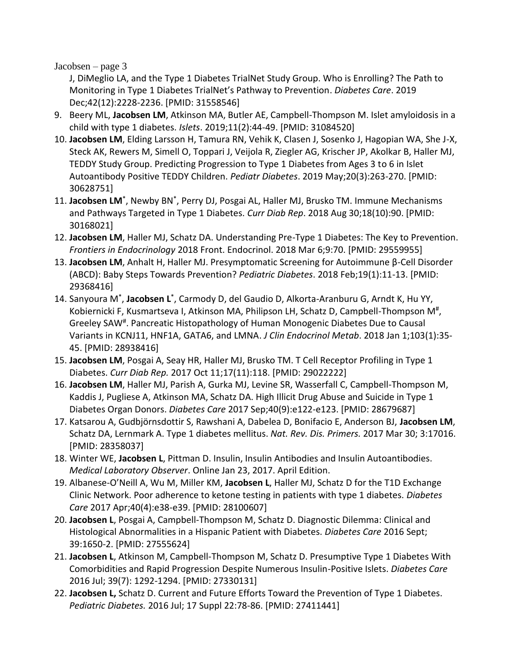Jacobsen – page 3

J, DiMeglio LA, and the Type 1 Diabetes TrialNet Study Group. Who is Enrolling? The Path to Monitoring in Type 1 Diabetes TrialNet's Pathway to Prevention. *Diabetes Care*. 2019 Dec;42(12):2228-2236. [PMID: 31558546]

- 9. Beery ML, **Jacobsen LM**, Atkinson MA, Butler AE, Campbell-Thompson M. Islet amyloidosis in a child with type 1 diabetes. *Islets*. 2019;11(2):44-49. [PMID: 31084520]
- 10. **Jacobsen LM**, Elding Larsson H, Tamura RN, Vehik K, Clasen J, Sosenko J, Hagopian WA, She J-X, Steck AK, Rewers M, Simell O, Toppari J, Veijola R, Ziegler AG, Krischer JP, Akolkar B, Haller MJ, TEDDY Study Group. Predicting Progression to Type 1 Diabetes from Ages 3 to 6 in Islet Autoantibody Positive TEDDY Children. *Pediatr Diabetes*. 2019 May;20(3):263-270. [PMID: 30628751]
- 11. Jacobsen LM<sup>\*</sup>, Newby BN<sup>\*</sup>, Perry DJ, Posgai AL, Haller MJ, Brusko TM. Immune Mechanisms and Pathways Targeted in Type 1 Diabetes. *Curr Diab Rep*. 2018 Aug 30;18(10):90. [PMID: 30168021]
- 12. **Jacobsen LM**, Haller MJ, Schatz DA. Understanding Pre-Type 1 Diabetes: The Key to Prevention. *Frontiers in Endocrinology* 2018 Front. Endocrinol. 2018 Mar 6;9:70. [PMID: 29559955]
- 13. **Jacobsen LM**, Anhalt H, Haller MJ. Presymptomatic Screening for Autoimmune β-Cell Disorder (ABCD): Baby Steps Towards Prevention? *Pediatric Diabetes*. 2018 Feb;19(1):11-13. [PMID: 29368416]
- 14. Sanyoura M\* , **Jacobsen L**\* , Carmody D, del Gaudio D, Alkorta-Aranburu G, Arndt K, Hu YY, Kobiernicki F, Kusmartseva I, Atkinson MA, Philipson LH, Schatz D, Campbell-Thompson M<sup>#</sup>, Greeley SAW# . Pancreatic Histopathology of Human Monogenic Diabetes Due to Causal Variants in KCNJ11, HNF1A, GATA6, and LMNA. *J Clin Endocrinol Metab*. 2018 Jan 1;103(1):35- 45. [PMID: 28938416]
- 15. **Jacobsen LM**, Posgai A, Seay HR, Haller MJ, Brusko TM. T Cell Receptor Profiling in Type 1 Diabetes. *Curr Diab Rep.* 2017 Oct 11;17(11):118. [PMID: 29022222]
- 16. **Jacobsen LM**, Haller MJ, Parish A, Gurka MJ, Levine SR, Wasserfall C, Campbell-Thompson M, Kaddis J, Pugliese A, Atkinson MA, Schatz DA. High Illicit Drug Abuse and Suicide in Type 1 Diabetes Organ Donors. *Diabetes Care* 2017 Sep;40(9):e122-e123. [PMID: 28679687]
- 17. Katsarou A, Gudbjörnsdottir S, Rawshani A, Dabelea D, Bonifacio E, Anderson BJ, **Jacobsen LM**, Schatz DA, Lernmark A. Type 1 diabetes mellitus. *Nat. Rev. Dis. Primers.* 2017 Mar 30; 3:17016. [PMID: 28358037]
- 18. Winter WE, **Jacobsen L**, Pittman D. Insulin, Insulin Antibodies and Insulin Autoantibodies. *Medical Laboratory Observer*. Online Jan 23, 2017. April Edition.
- 19. Albanese-O'Neill A, Wu M, Miller KM, **Jacobsen L**, Haller MJ, Schatz D for the T1D Exchange Clinic Network. Poor adherence to ketone testing in patients with type 1 diabetes. *Diabetes Care* 2017 Apr;40(4):e38-e39. [PMID: 28100607]
- 20. **Jacobsen L**, Posgai A, Campbell-Thompson M, Schatz D. Diagnostic Dilemma: Clinical and Histological Abnormalities in a Hispanic Patient with Diabetes. *Diabetes Care* 2016 Sept; 39:1650-2. [PMID: 27555624]
- 21. **Jacobsen L**, Atkinson M, Campbell-Thompson M, Schatz D. Presumptive Type 1 Diabetes With Comorbidities and Rapid Progression Despite Numerous Insulin-Positive Islets. *Diabetes Care*  2016 Jul; 39(7): 1292-1294. [PMID: 27330131]
- 22. **Jacobsen L,** Schatz D. Current and Future Efforts Toward the Prevention of Type 1 Diabetes. *Pediatric Diabetes.* 2016 Jul; 17 Suppl 22:78-86. [PMID: 27411441]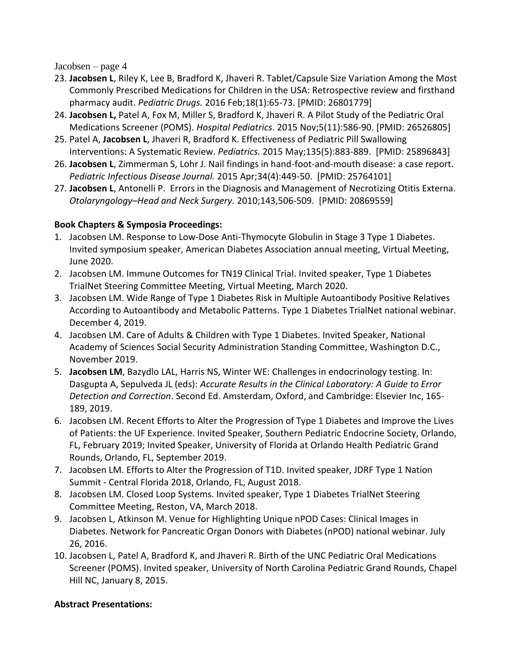Jacobsen – page 4

- 23. **Jacobsen L**, Riley K, Lee B, Bradford K, Jhaveri R. Tablet/Capsule Size Variation Among the Most Commonly Prescribed Medications for Children in the USA: Retrospective review and firsthand pharmacy audit. *Pediatric Drugs.* 2016 Feb;18(1):65-73. [PMID: 26801779]
- 24. **Jacobsen L,** Patel A, Fox M, Miller S, Bradford K, Jhaveri R. A Pilot Study of the Pediatric Oral Medications Screener (POMS). *Hospital Pediatrics*. 2015 Nov;5(11):586-90. [PMID: 26526805]
- 25. Patel A, **Jacobsen L**, Jhaveri R, Bradford K. Effectiveness of Pediatric Pill Swallowing Interventions: A Systematic Review. *Pediatrics.* 2015 May;135(5):883-889. [PMID: 25896843]
- 26. **Jacobsen L**, Zimmerman S, Lohr J. Nail findings in hand-foot-and-mouth disease: a case report. *Pediatric Infectious Disease Journal.* 2015 Apr;34(4):449-50. [PMID: 25764101]
- 27. **Jacobsen L**, Antonelli P. Errors in the Diagnosis and Management of Necrotizing Otitis Externa. *Otolaryngology–Head and Neck Surgery.* 2010;143,506-509. [PMID: 20869559]

## **Book Chapters & Symposia Proceedings:**

- 1. Jacobsen LM. Response to Low-Dose Anti-Thymocyte Globulin in Stage 3 Type 1 Diabetes. Invited symposium speaker, American Diabetes Association annual meeting, Virtual Meeting, June 2020.
- 2. Jacobsen LM. Immune Outcomes for TN19 Clinical Trial. Invited speaker, Type 1 Diabetes TrialNet Steering Committee Meeting, Virtual Meeting, March 2020.
- 3. Jacobsen LM. Wide Range of Type 1 Diabetes Risk in Multiple Autoantibody Positive Relatives According to Autoantibody and Metabolic Patterns. Type 1 Diabetes TrialNet national webinar. December 4, 2019.
- 4. Jacobsen LM. Care of Adults & Children with Type 1 Diabetes. Invited Speaker, National Academy of Sciences Social Security Administration Standing Committee, Washington D.C., November 2019.
- 5. **Jacobsen LM**, Bazydlo LAL, Harris NS, Winter WE: Challenges in endocrinology testing. In: Dasgupta A, Sepulveda JL (eds): *Accurate Results in the Clinical Laboratory: A Guide to Error Detection and Correction*. Second Ed. Amsterdam, Oxford, and Cambridge: Elsevier Inc, 165- 189, 2019.
- 6. Jacobsen LM. Recent Efforts to Alter the Progression of Type 1 Diabetes and Improve the Lives of Patients: the UF Experience. Invited Speaker, Southern Pediatric Endocrine Society, Orlando, FL, February 2019; Invited Speaker, University of Florida at Orlando Health Pediatric Grand Rounds, Orlando, FL, September 2019.
- 7. Jacobsen LM. Efforts to Alter the Progression of T1D. Invited speaker, JDRF Type 1 Nation Summit - Central Florida 2018, Orlando, FL, August 2018.
- 8. Jacobsen LM. Closed Loop Systems. Invited speaker, Type 1 Diabetes TrialNet Steering Committee Meeting, Reston, VA, March 2018.
- 9. Jacobsen L, Atkinson M. Venue for Highlighting Unique nPOD Cases: Clinical Images in Diabetes. Network for Pancreatic Organ Donors with Diabetes (nPOD) national webinar. July 26, 2016.
- 10. Jacobsen L, Patel A, Bradford K, and Jhaveri R. Birth of the UNC Pediatric Oral Medications Screener (POMS). Invited speaker, University of North Carolina Pediatric Grand Rounds, Chapel Hill NC, January 8, 2015.

#### **Abstract Presentations:**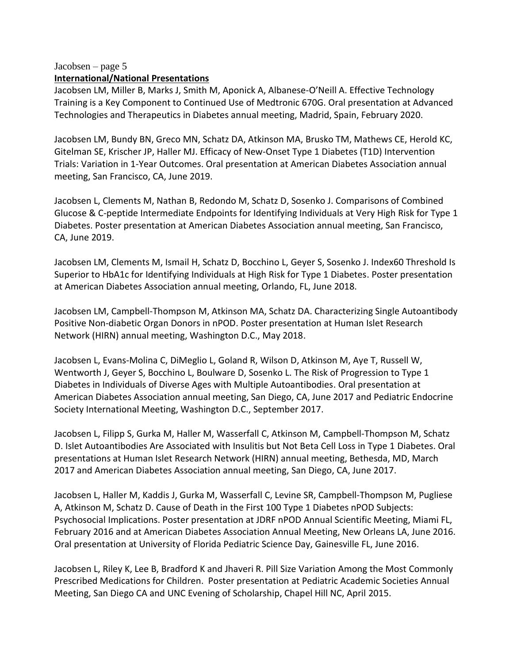#### Jacobsen – page 5 **International/National Presentations**

Jacobsen LM, Miller B, Marks J, Smith M, Aponick A, Albanese-O'Neill A. Effective Technology Training is a Key Component to Continued Use of Medtronic 670G. Oral presentation at Advanced Technologies and Therapeutics in Diabetes annual meeting, Madrid, Spain, February 2020.

Jacobsen LM, Bundy BN, Greco MN, Schatz DA, Atkinson MA, Brusko TM, Mathews CE, Herold KC, Gitelman SE, Krischer JP, Haller MJ. Efficacy of New-Onset Type 1 Diabetes (T1D) Intervention Trials: Variation in 1-Year Outcomes. Oral presentation at American Diabetes Association annual meeting, San Francisco, CA, June 2019.

Jacobsen L, Clements M, Nathan B, Redondo M, Schatz D, Sosenko J. Comparisons of Combined Glucose & C-peptide Intermediate Endpoints for Identifying Individuals at Very High Risk for Type 1 Diabetes. Poster presentation at American Diabetes Association annual meeting, San Francisco, CA, June 2019.

Jacobsen LM, Clements M, Ismail H, Schatz D, Bocchino L, Geyer S, Sosenko J. Index60 Threshold Is Superior to HbA1c for Identifying Individuals at High Risk for Type 1 Diabetes. Poster presentation at American Diabetes Association annual meeting, Orlando, FL, June 2018.

Jacobsen LM, Campbell-Thompson M, Atkinson MA, Schatz DA. Characterizing Single Autoantibody Positive Non-diabetic Organ Donors in nPOD. Poster presentation at Human Islet Research Network (HIRN) annual meeting, Washington D.C., May 2018.

Jacobsen L, Evans-Molina C, DiMeglio L, Goland R, Wilson D, Atkinson M, Aye T, Russell W, Wentworth J, Geyer S, Bocchino L, Boulware D, Sosenko L. The Risk of Progression to Type 1 Diabetes in Individuals of Diverse Ages with Multiple Autoantibodies. Oral presentation at American Diabetes Association annual meeting, San Diego, CA, June 2017 and Pediatric Endocrine Society International Meeting, Washington D.C., September 2017.

Jacobsen L, Filipp S, Gurka M, Haller M, Wasserfall C, Atkinson M, Campbell-Thompson M, Schatz D. Islet Autoantibodies Are Associated with Insulitis but Not Beta Cell Loss in Type 1 Diabetes. Oral presentations at Human Islet Research Network (HIRN) annual meeting, Bethesda, MD, March 2017 and American Diabetes Association annual meeting, San Diego, CA, June 2017.

Jacobsen L, Haller M, Kaddis J, Gurka M, Wasserfall C, Levine SR, Campbell-Thompson M, Pugliese A, Atkinson M, Schatz D. Cause of Death in the First 100 Type 1 Diabetes nPOD Subjects: Psychosocial Implications. Poster presentation at JDRF nPOD Annual Scientific Meeting, Miami FL, February 2016 and at American Diabetes Association Annual Meeting, New Orleans LA, June 2016. Oral presentation at University of Florida Pediatric Science Day, Gainesville FL, June 2016.

Jacobsen L, Riley K, Lee B, Bradford K and Jhaveri R. Pill Size Variation Among the Most Commonly Prescribed Medications for Children. Poster presentation at Pediatric Academic Societies Annual Meeting, San Diego CA and UNC Evening of Scholarship, Chapel Hill NC, April 2015.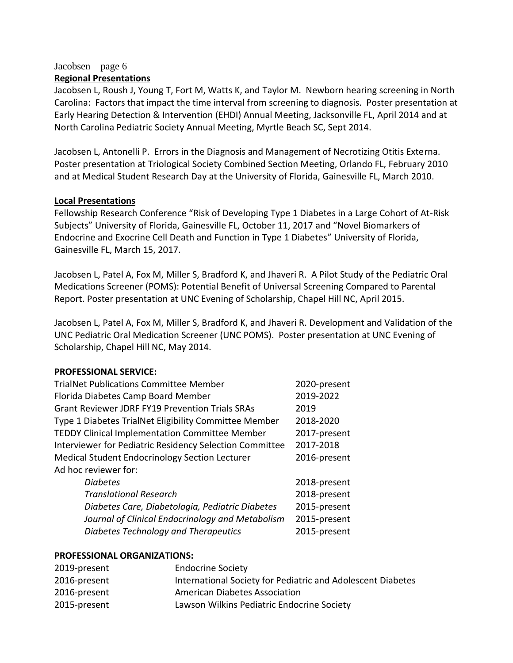#### Jacobsen – page 6 **Regional Presentations**

Jacobsen L, Roush J, Young T, Fort M, Watts K, and Taylor M. Newborn hearing screening in North Carolina: Factors that impact the time interval from screening to diagnosis. Poster presentation at Early Hearing Detection & Intervention (EHDI) Annual Meeting, Jacksonville FL, April 2014 and at North Carolina Pediatric Society Annual Meeting, Myrtle Beach SC, Sept 2014.

Jacobsen L, Antonelli P. Errors in the Diagnosis and Management of Necrotizing Otitis Externa. Poster presentation at Triological Society Combined Section Meeting, Orlando FL, February 2010 and at Medical Student Research Day at the University of Florida, Gainesville FL, March 2010.

#### **Local Presentations**

Fellowship Research Conference "Risk of Developing Type 1 Diabetes in a Large Cohort of At-Risk Subjects" University of Florida, Gainesville FL, October 11, 2017 and "Novel Biomarkers of Endocrine and Exocrine Cell Death and Function in Type 1 Diabetes" University of Florida, Gainesville FL, March 15, 2017.

Jacobsen L, Patel A, Fox M, Miller S, Bradford K, and Jhaveri R. A Pilot Study of the Pediatric Oral Medications Screener (POMS): Potential Benefit of Universal Screening Compared to Parental Report. Poster presentation at UNC Evening of Scholarship, Chapel Hill NC, April 2015.

Jacobsen L, Patel A, Fox M, Miller S, Bradford K, and Jhaveri R. Development and Validation of the UNC Pediatric Oral Medication Screener (UNC POMS). Poster presentation at UNC Evening of Scholarship, Chapel Hill NC, May 2014.

# **PROFESSIONAL SERVICE:**

| <b>TrialNet Publications Committee Member</b>           | 2020-present |
|---------------------------------------------------------|--------------|
| Florida Diabetes Camp Board Member                      | 2019-2022    |
| <b>Grant Reviewer JDRF FY19 Prevention Trials SRAs</b>  | 2019         |
| Type 1 Diabetes TrialNet Eligibility Committee Member   | 2018-2020    |
| <b>TEDDY Clinical Implementation Committee Member</b>   | 2017-present |
| Interviewer for Pediatric Residency Selection Committee | 2017-2018    |
| <b>Medical Student Endocrinology Section Lecturer</b>   | 2016-present |
| Ad hoc reviewer for:                                    |              |
| <b>Diabetes</b>                                         | 2018-present |
| <b>Translational Research</b>                           | 2018-present |
| Diabetes Care, Diabetologia, Pediatric Diabetes         | 2015-present |
| Journal of Clinical Endocrinology and Metabolism        | 2015-present |
| Diabetes Technology and Therapeutics                    | 2015-present |

#### **PROFESSIONAL ORGANIZATIONS:**

| 2019-present | <b>Endocrine Society</b>                                    |
|--------------|-------------------------------------------------------------|
| 2016-present | International Society for Pediatric and Adolescent Diabetes |
| 2016-present | <b>American Diabetes Association</b>                        |
| 2015-present | Lawson Wilkins Pediatric Endocrine Society                  |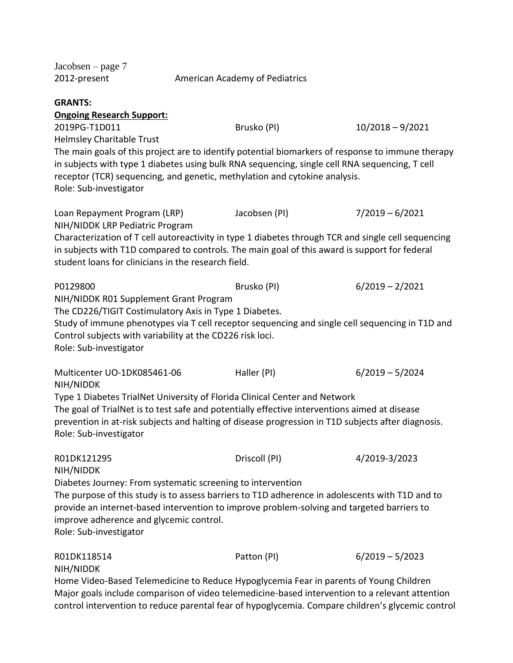| Jacobsen $-$ page $7$<br>2012-present                       | American Academy of Pediatrics |                                                                                               |                                                                                                     |  |  |
|-------------------------------------------------------------|--------------------------------|-----------------------------------------------------------------------------------------------|-----------------------------------------------------------------------------------------------------|--|--|
| <b>GRANTS:</b>                                              |                                |                                                                                               |                                                                                                     |  |  |
| <b>Ongoing Research Support:</b>                            |                                |                                                                                               |                                                                                                     |  |  |
| 2019PG-T1D011                                               |                                | Brusko (PI)                                                                                   | $10/2018 - 9/2021$                                                                                  |  |  |
| <b>Helmsley Charitable Trust</b>                            |                                |                                                                                               |                                                                                                     |  |  |
|                                                             |                                |                                                                                               | The main goals of this project are to identify potential biomarkers of response to immune therapy   |  |  |
|                                                             |                                |                                                                                               | in subjects with type 1 diabetes using bulk RNA sequencing, single cell RNA sequencing, T cell      |  |  |
|                                                             |                                | receptor (TCR) sequencing, and genetic, methylation and cytokine analysis.                    |                                                                                                     |  |  |
| Role: Sub-investigator                                      |                                |                                                                                               |                                                                                                     |  |  |
| Loan Repayment Program (LRP)                                |                                | Jacobsen (PI)                                                                                 | $7/2019 - 6/2021$                                                                                   |  |  |
| NIH/NIDDK LRP Pediatric Program                             |                                |                                                                                               |                                                                                                     |  |  |
|                                                             |                                |                                                                                               | Characterization of T cell autoreactivity in type 1 diabetes through TCR and single cell sequencing |  |  |
|                                                             |                                |                                                                                               | in subjects with T1D compared to controls. The main goal of this award is support for federal       |  |  |
| student loans for clinicians in the research field.         |                                |                                                                                               |                                                                                                     |  |  |
| P0129800                                                    |                                | Brusko (PI)                                                                                   | $6/2019 - 2/2021$                                                                                   |  |  |
| NIH/NIDDK R01 Supplement Grant Program                      |                                |                                                                                               |                                                                                                     |  |  |
| The CD226/TIGIT Costimulatory Axis in Type 1 Diabetes.      |                                |                                                                                               |                                                                                                     |  |  |
|                                                             |                                |                                                                                               | Study of immune phenotypes via T cell receptor sequencing and single cell sequencing in T1D and     |  |  |
| Control subjects with variability at the CD226 risk loci.   |                                |                                                                                               |                                                                                                     |  |  |
| Role: Sub-investigator                                      |                                |                                                                                               |                                                                                                     |  |  |
| Multicenter UO-1DK085461-06                                 |                                | Haller (PI)                                                                                   | $6/2019 - 5/2024$                                                                                   |  |  |
| NIH/NIDDK                                                   |                                |                                                                                               |                                                                                                     |  |  |
|                                                             |                                | Type 1 Diabetes TrialNet University of Florida Clinical Center and Network                    |                                                                                                     |  |  |
|                                                             |                                | The goal of TrialNet is to test safe and potentially effective interventions aimed at disease | prevention in at-risk subjects and halting of disease progression in T1D subjects after diagnosis.  |  |  |
| Role: Sub-investigator                                      |                                |                                                                                               |                                                                                                     |  |  |
| R01DK121295                                                 |                                | Driscoll (PI)                                                                                 | 4/2019-3/2023                                                                                       |  |  |
| NIH/NIDDK                                                   |                                |                                                                                               |                                                                                                     |  |  |
| Diabetes Journey: From systematic screening to intervention |                                |                                                                                               |                                                                                                     |  |  |
|                                                             |                                |                                                                                               | The purpose of this study is to assess barriers to T1D adherence in adolescents with T1D and to     |  |  |
|                                                             |                                |                                                                                               | provide an internet-based intervention to improve problem-solving and targeted barriers to          |  |  |
| improve adherence and glycemic control.                     |                                |                                                                                               |                                                                                                     |  |  |
| Role: Sub-investigator                                      |                                |                                                                                               |                                                                                                     |  |  |
| R01DK118514                                                 |                                | Patton (PI)                                                                                   | $6/2019 - 5/2023$                                                                                   |  |  |
| NIH/NIDDK                                                   |                                |                                                                                               |                                                                                                     |  |  |
|                                                             |                                |                                                                                               | Home Video-Based Telemedicine to Reduce Hypoglycemia Fear in parents of Young Children              |  |  |
|                                                             |                                |                                                                                               | Major goals include comparison of video telemedicine-based intervention to a relevant attention     |  |  |
|                                                             |                                |                                                                                               | control intervention to reduce parental fear of hypoglycemia. Compare children's glycemic control   |  |  |